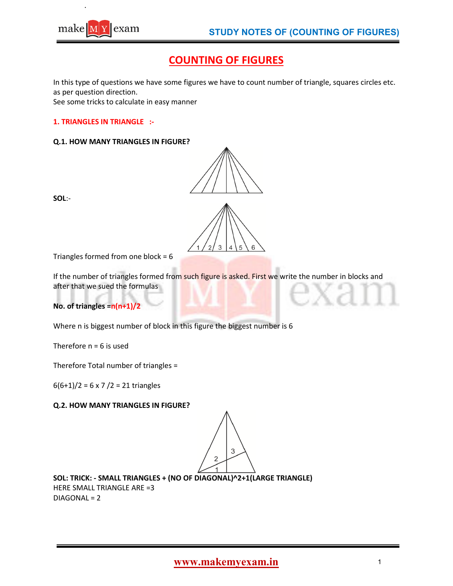

# **COUNTING OF FIGURES**

In this type of questions we have some figures we have to count number of triangle, squares circles etc. as per question direction.

See some tricks to calculate in easy manner

### **1. TRIANGLES IN TRIANGLE :-**

#### **Q.1. HOW MANY TRIANGLES IN FIGURE?**



**SOL**:-

Triangles formed from one block =  $6$ 

If the number of triangles formed from such figure is asked. First we write the number in blocks and after that we sued the formulas

**No. of triangles =n(n+1)/2** 

Where n is biggest number of block in this figure the biggest number is 6

Therefore  $n = 6$  is used

Therefore Total number of triangles =

 $6(6+1)/2 = 6 \times 7 /2 = 21$  triangles

### **Q.2. HOW MANY TRIANGLES IN FIGURE?**

3

**SOL: TRICK: - SMALL TRIANGLES + (NO OF DIAGONAL)^2+1(LARGE TRIANGLE)**  HERE SMALL TRIANGLE ARE =3 DIAGONAL = 2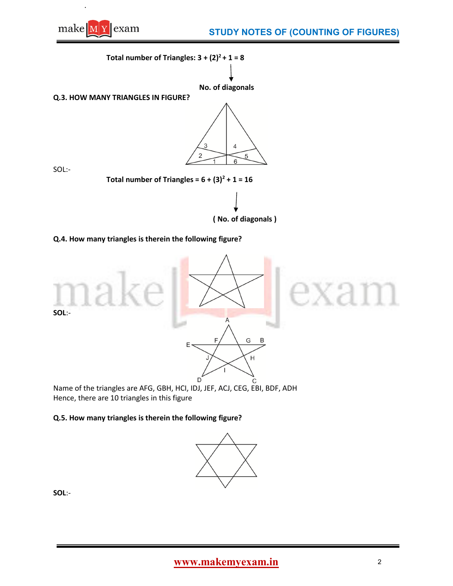

**Total number of Triangles:**  $3 + (2)^2 + 1 = 8$ 



 **No. of diagonals** 

**Q.3. HOW MANY TRIANGLES IN FIGURE?** 



SOL:-

**Total number of Triangles =**  $6 + (3)^2 + 1 = 16$ 

**( No. of diagonals )** 

# **Q.4. How many triangles is therein the following figure?**



Name of the triangles are AFG, GBH, HCI, IDJ, JEF, ACJ, CEG, EBI, BDF, ADH Hence, there are 10 triangles in this figure

### **Q.5. How many triangles is therein the following figure?**



**SOL**:-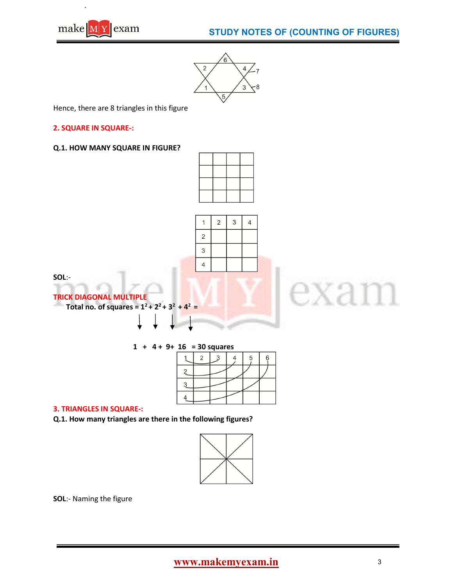



Hence, there are 8 triangles in this figure

### **2. SQUARE IN SQUARE-:**

#### **Q.1. HOW MANY SQUARE IN FIGURE?**



 $\mathfrak{Z}$ 

 $\overline{4}$ 

 $\overline{2}$ 

 $\mathbf{1}$ 

 $\overline{2}$ 3  $\overline{\mathbf{4}}$ 

**SOL**:-

**TRICK DIAGONAL MULTIPLE Total no. of squares =**  $1^2 + 2^2 + 3^2 + 4^2 =$ 

**1 + 4 + 9+ 16 = 30 squares** 

|   | ン |  | 5 | 6 |
|---|---|--|---|---|
| 2 |   |  |   |   |
| З |   |  |   |   |
|   |   |  |   |   |
|   |   |  |   |   |

#### **3. TRIANGLES IN SQUARE-:**

**Q.1. How many triangles are there in the following figures?** 



**SOL**:- Naming the figure

exam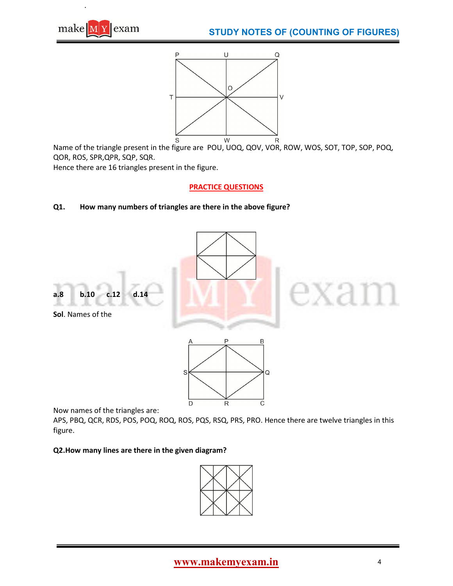





Name of the triangle present in the figure are POU, UOQ, QOV, VOR, ROW, WOS, SOT, TOP, SOP, POQ, QOR, ROS, SPR,QPR, SQP, SQR.

Hence there are 16 triangles present in the figure.

# **PRACTICE QUESTIONS**

# **Q1. How many numbers of triangles are there in the above figure?**





Now names of the triangles are:

APS, PBQ, QCR, RDS, POS, POQ, ROQ, ROS, PQS, RSQ, PRS, PRO. Hence there are twelve triangles in this figure.

## **Q2.How many lines are there in the given diagram?**